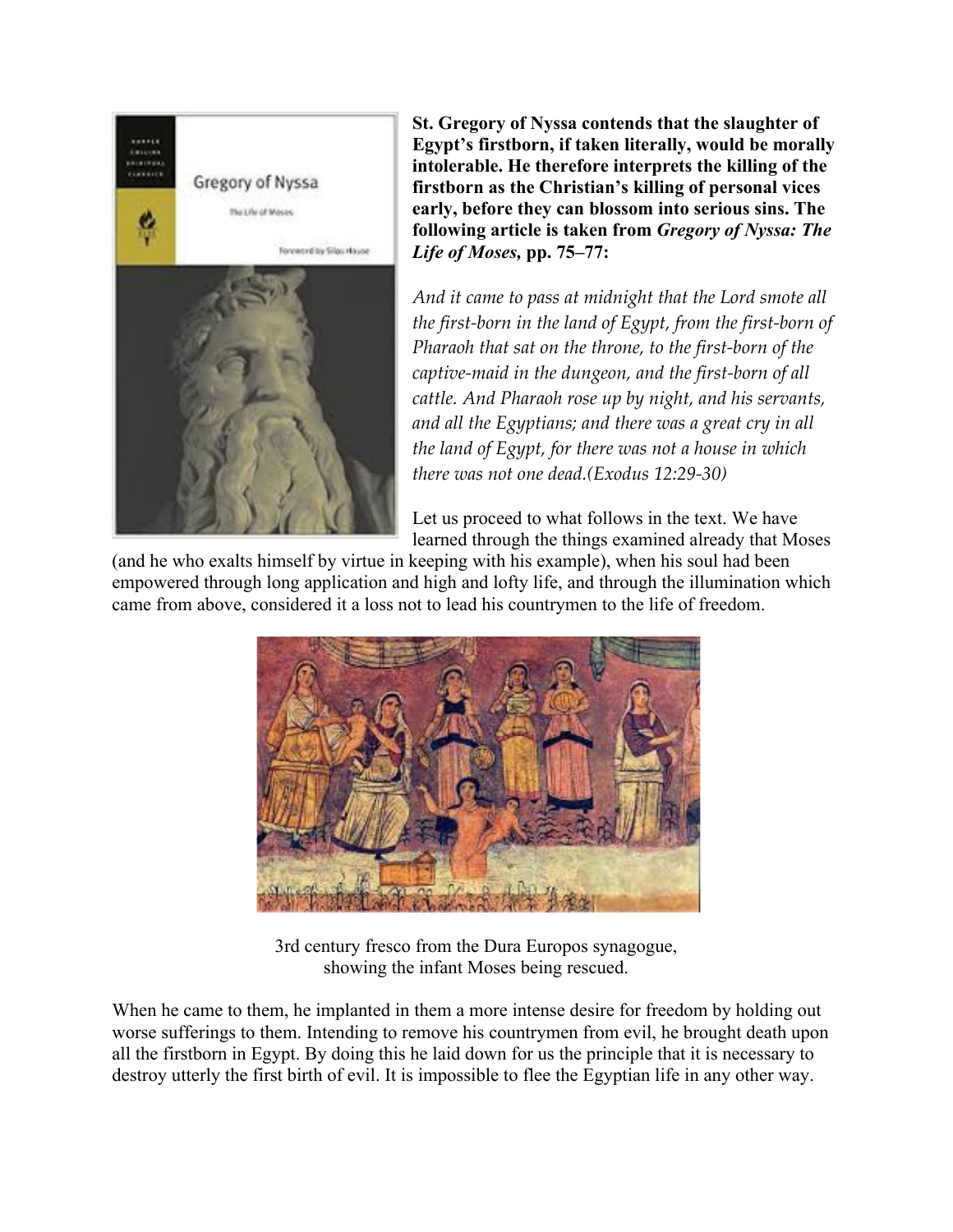

**St. Gregory of Nyssa contends that the slaughter of Egypt's firstborn, if taken literally, would be morally intolerable. He therefore interprets the killing of the firstborn as the Christian's killing of personal vices early, before they can blossom into serious sins. The following article is taken from** *Gregory of Nyssa: The Life of Moses,* **pp. 75–77:**

*And it came to pass at midnight that the Lord smote all the first-born in the land of Egypt, from the first-born of Pharaoh that sat on the throne, to the first-born of the captive-maid in the dungeon, and the first-born of all cattle. And Pharaoh rose up by night, and his servants, and all the Egyptians; and there was a great cry in all the land of Egypt, for there was not a house in which there was not one dead.(Exodus 12:29-30)*

Let us proceed to what follows in the text. We have learned through the things examined already that Moses

(and he who exalts himself by virtue in keeping with his example), when his soul had been empowered through long application and high and lofty life, and through the illumination which came from above, considered it a loss not to lead his countrymen to the life of freedom.



3rd century fresco from the Dura Europos synagogue, showing the infant Moses being rescued.

When he came to them, he implanted in them a more intense desire for freedom by holding out worse sufferings to them. Intending to remove his countrymen from evil, he brought death upon all the firstborn in Egypt. By doing this he laid down for us the principle that it is necessary to destroy utterly the first birth of evil. It is impossible to flee the Egyptian life in any other way.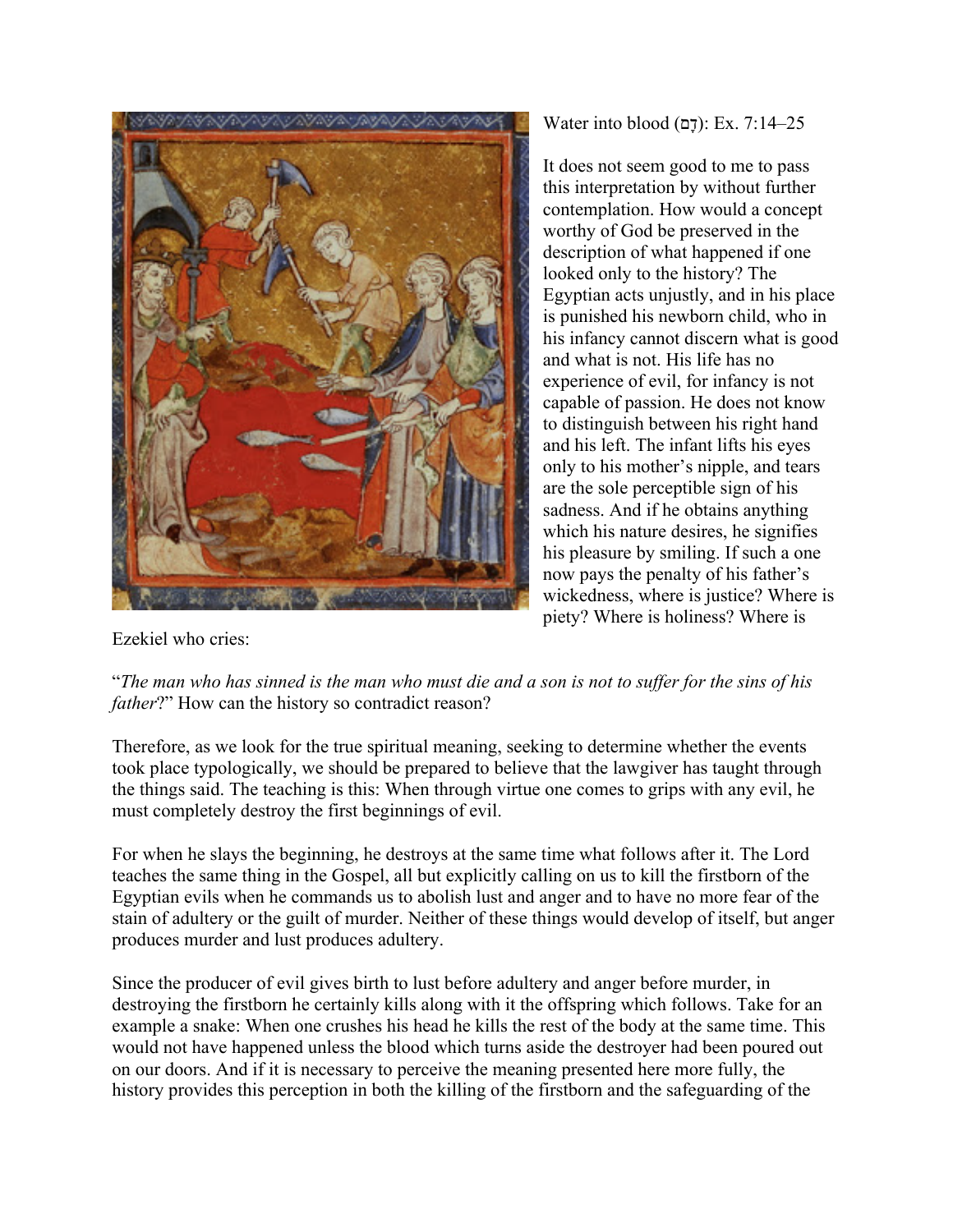

Water into blood (דָם): Ex. 7:14–25

It does not seem good to me to pass this interpretation by without further contemplation. How would a concept worthy of God be preserved in the description of what happened if one looked only to the history? The Egyptian acts unjustly, and in his place is punished his newborn child, who in his infancy cannot discern what is good and what is not. His life has no experience of evil, for infancy is not capable of passion. He does not know to distinguish between his right hand and his left. The infant lifts his eyes only to his mother's nipple, and tears are the sole perceptible sign of his sadness. And if he obtains anything which his nature desires, he signifies his pleasure by smiling. If such a one now pays the penalty of his father's wickedness, where is justice? Where is piety? Where is holiness? Where is

Ezekiel who cries:

"*The man who has sinned is the man who must die and a son is not to suffer for the sins of his father*?" How can the history so contradict reason?

Therefore, as we look for the true spiritual meaning, seeking to determine whether the events took place typologically, we should be prepared to believe that the lawgiver has taught through the things said. The teaching is this: When through virtue one comes to grips with any evil, he must completely destroy the first beginnings of evil.

For when he slays the beginning, he destroys at the same time what follows after it. The Lord teaches the same thing in the Gospel, all but explicitly calling on us to kill the firstborn of the Egyptian evils when he commands us to abolish lust and anger and to have no more fear of the stain of adultery or the guilt of murder. Neither of these things would develop of itself, but anger produces murder and lust produces adultery.

Since the producer of evil gives birth to lust before adultery and anger before murder, in destroying the firstborn he certainly kills along with it the offspring which follows. Take for an example a snake: When one crushes his head he kills the rest of the body at the same time. This would not have happened unless the blood which turns aside the destroyer had been poured out on our doors. And if it is necessary to perceive the meaning presented here more fully, the history provides this perception in both the killing of the firstborn and the safeguarding of the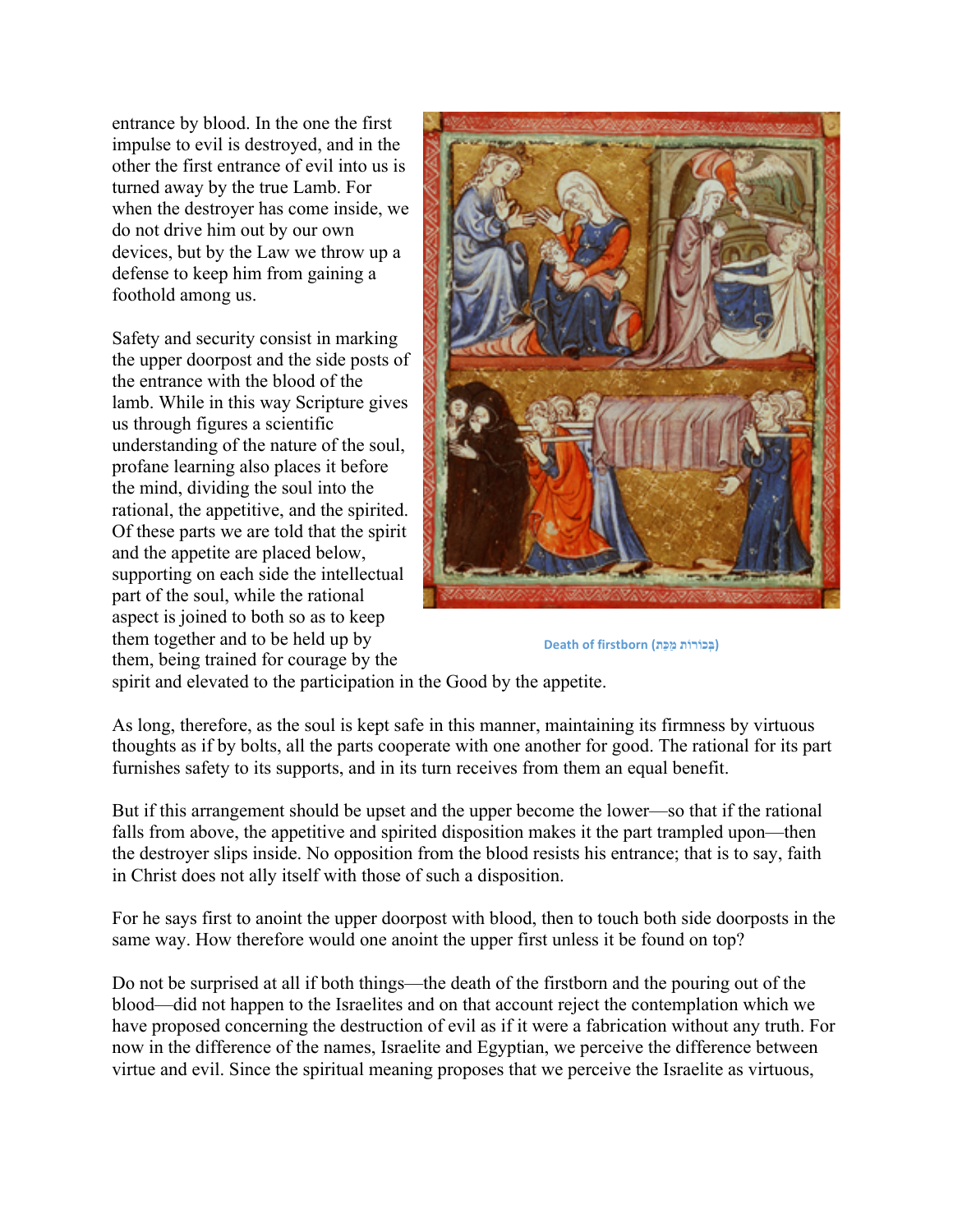entrance by blood. In the one the first impulse to evil is destroyed, and in the other the first entrance of evil into us is turned away by the true Lamb. For when the destroyer has come inside, we do not drive him out by our own devices, but by the Law we throw up a defense to keep him from gaining a foothold among us.

Safety and security consist in marking the upper doorpost and the side posts of the entrance with the blood of the lamb. While in this way Scripture gives us through figures a scientific understanding of the nature of the soul, profane learning also places it before the mind, dividing the soul into the rational, the appetitive, and the spirited. Of these parts we are told that the spirit and the appetite are placed below, supporting on each side the intellectual part of the soul, while the rational aspect is joined to both so as to keep them together and to be held up by them, being trained for courage by the



 **(בְּכוֹרוֹת מַכַּת) firstborn of Death**

spirit and elevated to the participation in the Good by the appetite.

As long, therefore, as the soul is kept safe in this manner, maintaining its firmness by virtuous thoughts as if by bolts, all the parts cooperate with one another for good. The rational for its part furnishes safety to its supports, and in its turn receives from them an equal benefit.

But if this arrangement should be upset and the upper become the lower—so that if the rational falls from above, the appetitive and spirited disposition makes it the part trampled upon—then the destroyer slips inside. No opposition from the blood resists his entrance; that is to say, faith in Christ does not ally itself with those of such a disposition.

For he says first to anoint the upper doorpost with blood, then to touch both side doorposts in the same way. How therefore would one anoint the upper first unless it be found on top?

Do not be surprised at all if both things—the death of the firstborn and the pouring out of the blood—did not happen to the Israelites and on that account reject the contemplation which we have proposed concerning the destruction of evil as if it were a fabrication without any truth. For now in the difference of the names, Israelite and Egyptian, we perceive the difference between virtue and evil. Since the spiritual meaning proposes that we perceive the Israelite as virtuous,